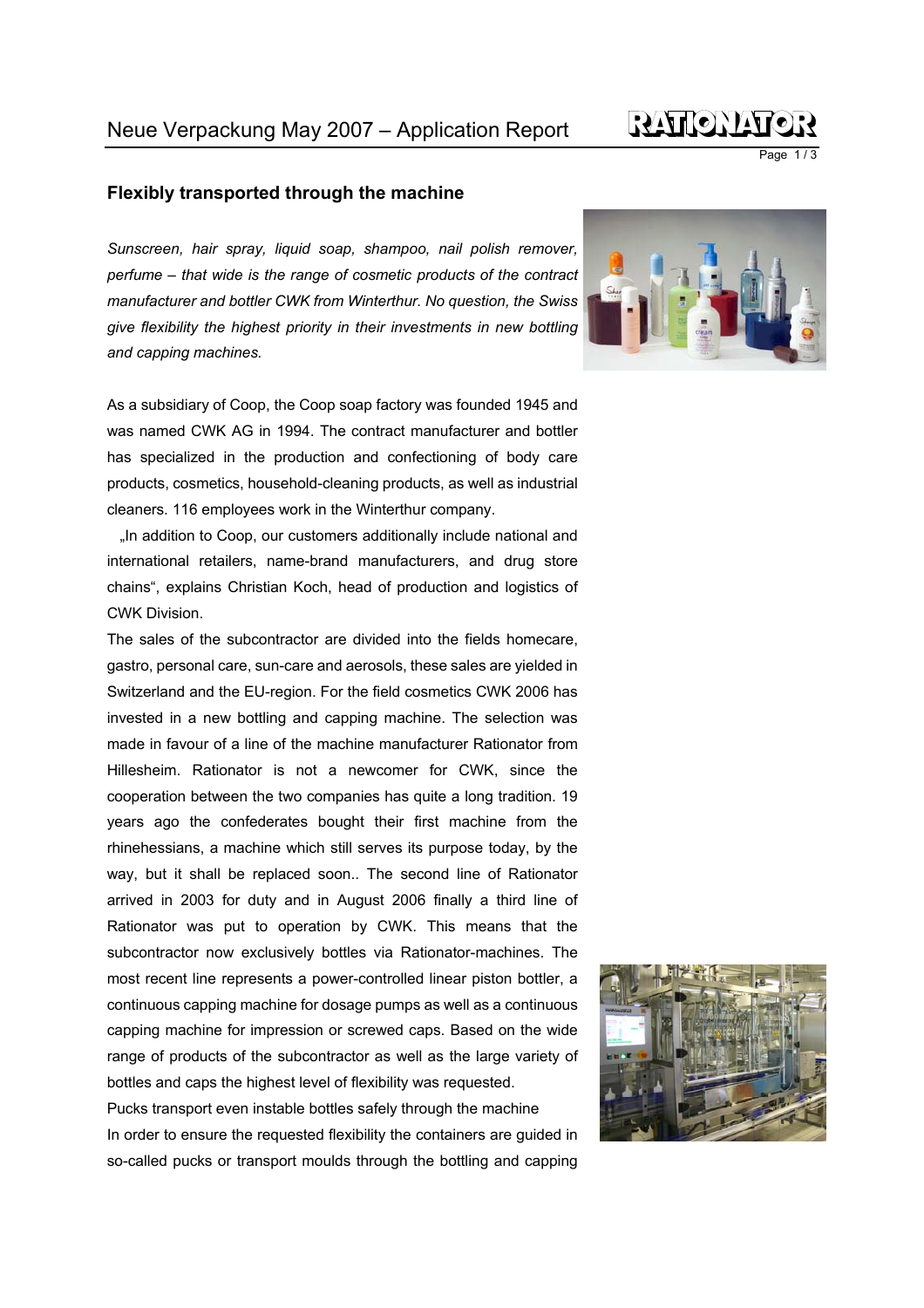## RÝŁY H (O) N YAY

Page 1/3

## **Flexibly transported through the machine**

*Sunscreen, hair spray, liquid soap, shampoo, nail polish remover, perfume – that wide is the range of cosmetic products of the contract manufacturer and bottler CWK from Winterthur. No question, the Swiss give flexibility the highest priority in their investments in new bottling and capping machines.* 

As a subsidiary of Coop, the Coop soap factory was founded 1945 and was named CWK AG in 1994. The contract manufacturer and bottler has specialized in the production and confectioning of body care products, cosmetics, household-cleaning products, as well as industrial cleaners. 116 employees work in the Winterthur company.

"In addition to Coop, our customers additionally include national and international retailers, name-brand manufacturers, and drug store chains", explains Christian Koch, head of production and logistics of CWK Division.

The sales of the subcontractor are divided into the fields homecare, gastro, personal care, sun-care and aerosols, these sales are yielded in Switzerland and the EU-region. For the field cosmetics CWK 2006 has invested in a new bottling and capping machine. The selection was made in favour of a line of the machine manufacturer Rationator from Hillesheim. Rationator is not a newcomer for CWK, since the cooperation between the two companies has quite a long tradition. 19 years ago the confederates bought their first machine from the rhinehessians, a machine which still serves its purpose today, by the way, but it shall be replaced soon.. The second line of Rationator arrived in 2003 for duty and in August 2006 finally a third line of Rationator was put to operation by CWK. This means that the subcontractor now exclusively bottles via Rationator-machines. The most recent line represents a power-controlled linear piston bottler, a continuous capping machine for dosage pumps as well as a continuous capping machine for impression or screwed caps. Based on the wide range of products of the subcontractor as well as the large variety of bottles and caps the highest level of flexibility was requested.

Pucks transport even instable bottles safely through the machine In order to ensure the requested flexibility the containers are guided in so-called pucks or transport moulds through the bottling and capping



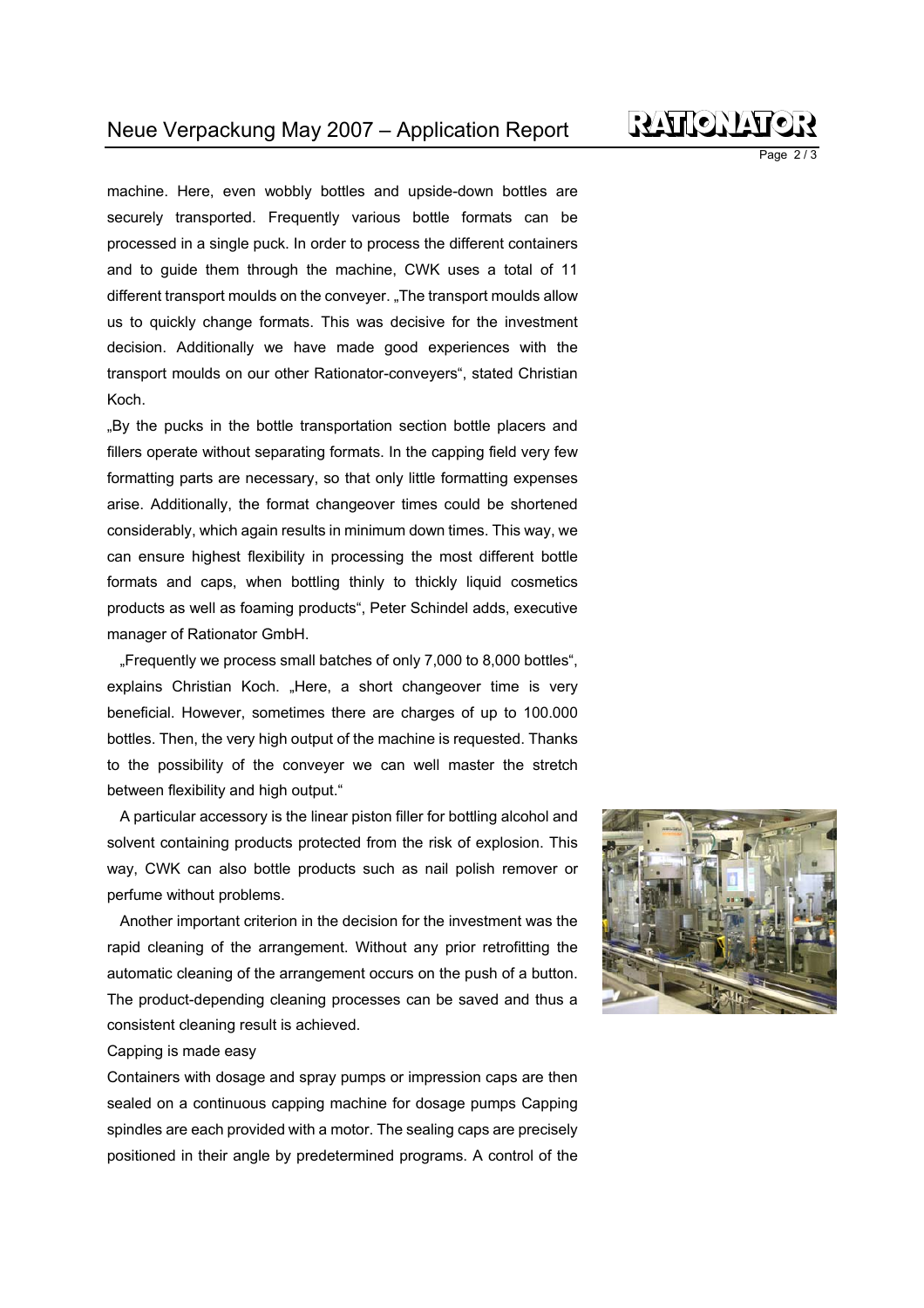machine. Here, even wobbly bottles and upside-down bottles are securely transported. Frequently various bottle formats can be processed in a single puck. In order to process the different containers and to guide them through the machine, CWK uses a total of 11 different transport moulds on the conveyer. "The transport moulds allow us to quickly change formats. This was decisive for the investment decision. Additionally we have made good experiences with the transport moulds on our other Rationator-conveyers", stated Christian Koch.

"By the pucks in the bottle transportation section bottle placers and fillers operate without separating formats. In the capping field very few formatting parts are necessary, so that only little formatting expenses arise. Additionally, the format changeover times could be shortened considerably, which again results in minimum down times. This way, we can ensure highest flexibility in processing the most different bottle formats and caps, when bottling thinly to thickly liquid cosmetics products as well as foaming products", Peter Schindel adds, executive manager of Rationator GmbH.

"Frequently we process small batches of only 7,000 to 8,000 bottles", explains Christian Koch. "Here, a short changeover time is very beneficial. However, sometimes there are charges of up to 100.000 bottles. Then, the very high output of the machine is requested. Thanks to the possibility of the conveyer we can well master the stretch between flexibility and high output."

A particular accessory is the linear piston filler for bottling alcohol and solvent containing products protected from the risk of explosion. This way, CWK can also bottle products such as nail polish remover or perfume without problems.

Another important criterion in the decision for the investment was the rapid cleaning of the arrangement. Without any prior retrofitting the automatic cleaning of the arrangement occurs on the push of a button. The product-depending cleaning processes can be saved and thus a consistent cleaning result is achieved.

## Capping is made easy

Containers with dosage and spray pumps or impression caps are then sealed on a continuous capping machine for dosage pumps Capping spindles are each provided with a motor. The sealing caps are precisely positioned in their angle by predetermined programs. A control of the





Page 2/3